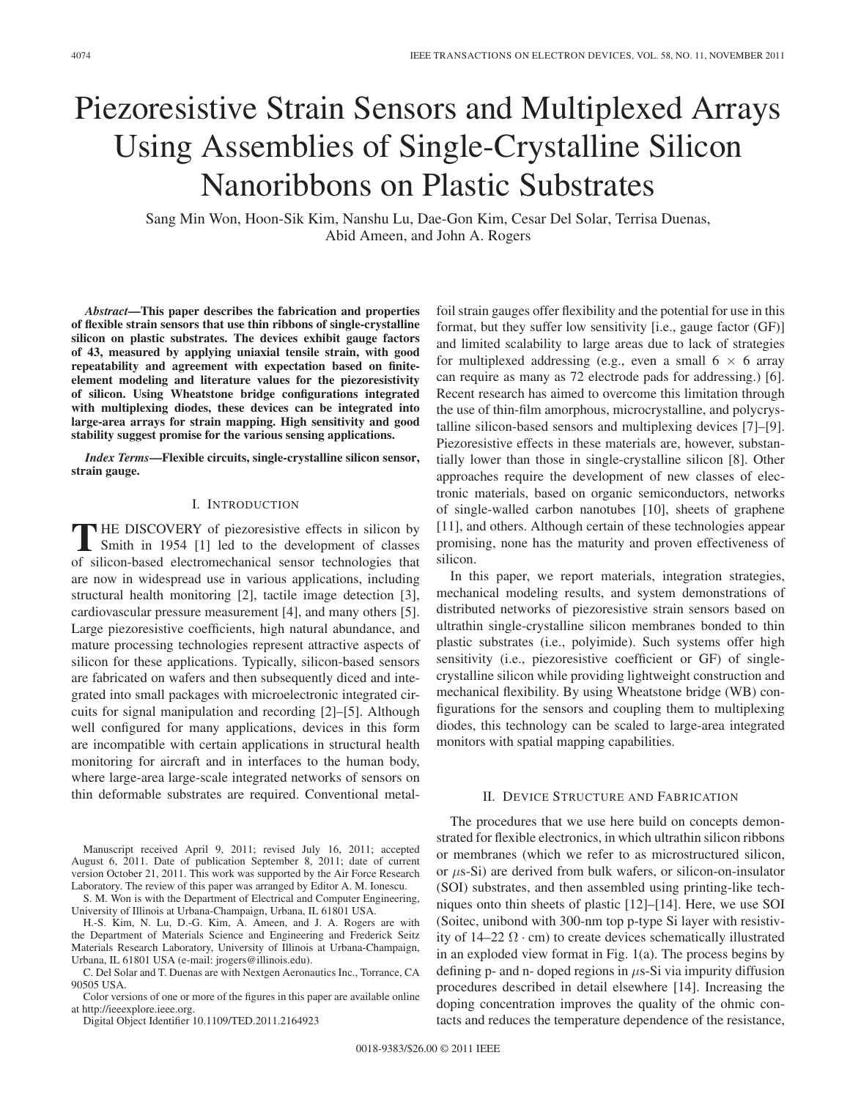# Piezoresistive Strain Sensors and Multiplexed Arrays Using Assemblies of Single-Crystalline Silicon Nanoribbons on Plastic Substrates

Sang Min Won, Hoon-Sik Kim, Nanshu Lu, Dae-Gon Kim, Cesar Del Solar, Terrisa Duenas, Abid Ameen, and John A. Rogers

*Abstract***—This paper describes the fabrication and properties of flexible strain sensors that use thin ribbons of single-crystalline silicon on plastic substrates. The devices exhibit gauge factors of 43, measured by applying uniaxial tensile strain, with good repeatability and agreement with expectation based on finiteelement modeling and literature values for the piezoresistivity of silicon. Using Wheatstone bridge configurations integrated with multiplexing diodes, these devices can be integrated into large-area arrays for strain mapping. High sensitivity and good stability suggest promise for the various sensing applications.**

*Index Terms***—Flexible circuits, single-crystalline silicon sensor, strain gauge.**

#### I. INTRODUCTION

**T** HE DISCOVERY of piezoresistive effects in silicon by Smith in 1954 [1] led to the development of classes of silicon-based electromechanical sensor technologies that are now in widespread use in various applications, including structural health monitoring [2], tactile image detection [3], cardiovascular pressure measurement [4], and many others [5]. Large piezoresistive coefficients, high natural abundance, and mature processing technologies represent attractive aspects of silicon for these applications. Typically, silicon-based sensors are fabricated on wafers and then subsequently diced and integrated into small packages with microelectronic integrated circuits for signal manipulation and recording [2]–[5]. Although well configured for many applications, devices in this form are incompatible with certain applications in structural health monitoring for aircraft and in interfaces to the human body, where large-area large-scale integrated networks of sensors on thin deformable substrates are required. Conventional metal-

Manuscript received April 9, 2011; revised July 16, 2011; accepted August 6, 2011. Date of publication September 8, 2011; date of current version October 21, 2011. This work was supported by the Air Force Research Laboratory. The review of this paper was arranged by Editor A. M. Ionescu.

S. M. Won is with the Department of Electrical and Computer Engineering, University of Illinois at Urbana-Champaign, Urbana, IL 61801 USA.

H.-S. Kim, N. Lu, D.-G. Kim, A. Ameen, and J. A. Rogers are with the Department of Materials Science and Engineering and Frederick Seitz Materials Research Laboratory, University of Illinois at Urbana-Champaign, Urbana, IL 61801 USA (e-mail: jrogers@illinois.edu).

C. Del Solar and T. Duenas are with Nextgen Aeronautics Inc., Torrance, CA 90505 USA.

Color versions of one or more of the figures in this paper are available online at http://ieeexplore.ieee.org.

Digital Object Identifier 10.1109/TED.2011.2164923

foil strain gauges offer flexibility and the potential for use in this format, but they suffer low sensitivity [i.e., gauge factor (GF)] and limited scalability to large areas due to lack of strategies for multiplexed addressing (e.g., even a small  $6 \times 6$  array can require as many as 72 electrode pads for addressing.) [6]. Recent research has aimed to overcome this limitation through the use of thin-film amorphous, microcrystalline, and polycrystalline silicon-based sensors and multiplexing devices [7]–[9]. Piezoresistive effects in these materials are, however, substantially lower than those in single-crystalline silicon [8]. Other approaches require the development of new classes of electronic materials, based on organic semiconductors, networks of single-walled carbon nanotubes [10], sheets of graphene [11], and others. Although certain of these technologies appear promising, none has the maturity and proven effectiveness of silicon.

In this paper, we report materials, integration strategies, mechanical modeling results, and system demonstrations of distributed networks of piezoresistive strain sensors based on ultrathin single-crystalline silicon membranes bonded to thin plastic substrates (i.e., polyimide). Such systems offer high sensitivity (i.e., piezoresistive coefficient or GF) of singlecrystalline silicon while providing lightweight construction and mechanical flexibility. By using Wheatstone bridge (WB) configurations for the sensors and coupling them to multiplexing diodes, this technology can be scaled to large-area integrated monitors with spatial mapping capabilities.

### II. DEVICE STRUCTURE AND FABRICATION

The procedures that we use here build on concepts demonstrated for flexible electronics, in which ultrathin silicon ribbons or membranes (which we refer to as microstructured silicon, or  $\mu$ s-Si) are derived from bulk wafers, or silicon-on-insulator (SOI) substrates, and then assembled using printing-like techniques onto thin sheets of plastic [12]–[14]. Here, we use SOI (Soitec, unibond with 300-nm top p-type Si layer with resistivity of  $14-22 \Omega \cdot cm$ ) to create devices schematically illustrated in an exploded view format in Fig. 1(a). The process begins by defining p- and n- doped regions in  $\mu$ s-Si via impurity diffusion procedures described in detail elsewhere [14]. Increasing the doping concentration improves the quality of the ohmic contacts and reduces the temperature dependence of the resistance,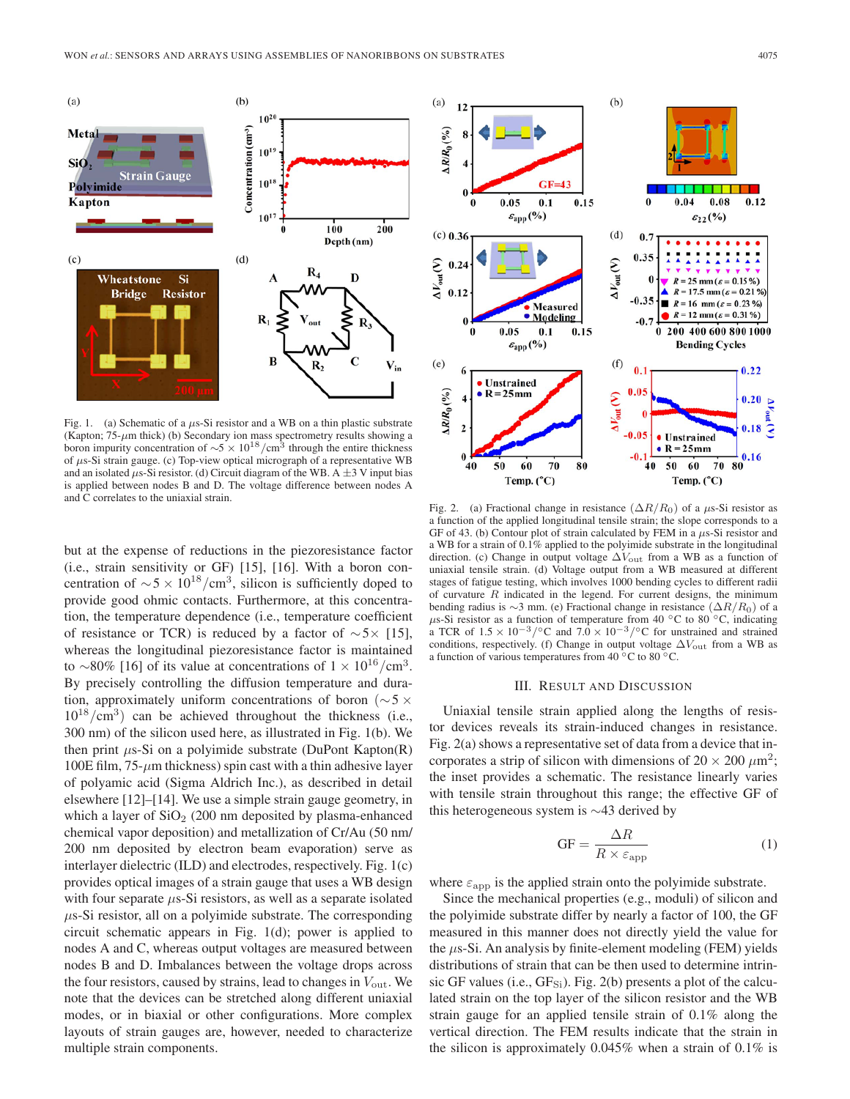

Fig. 1. (a) Schematic of a  $\mu$ s-Si resistor and a WB on a thin plastic substrate (Kapton;  $75-\mu m$  thick) (b) Secondary ion mass spectrometry results showing a boron impurity concentration of  $\sim$ 5 × 10<sup>18</sup>/cm<sup>3</sup> through the entire thickness of μs-Si strain gauge. (c) Top-view optical micrograph of a representative WB and an isolated  $\mu$ s-Si resistor. (d) Circuit diagram of the WB. A  $\pm$ 3 V input bias is applied between nodes B and D. The voltage difference between nodes A and C correlates to the uniaxial strain.

but at the expense of reductions in the piezoresistance factor (i.e., strain sensitivity or GF) [15], [16]. With a boron concentration of  $\sim$  5 × 10<sup>18</sup>/cm<sup>3</sup>, silicon is sufficiently doped to provide good ohmic contacts. Furthermore, at this concentration, the temperature dependence (i.e., temperature coefficient of resistance or TCR) is reduced by a factor of  $\sim$ 5× [15], whereas the longitudinal piezoresistance factor is maintained to ∼80% [16] of its value at concentrations of  $1 \times 10^{16}$ /cm<sup>3</sup>. By precisely controlling the diffusion temperature and duration, approximately uniform concentrations of boron ( $\sim$ 5 ×  $10^{18}/\text{cm}^3$ ) can be achieved throughout the thickness (i.e., 300 nm) of the silicon used here, as illustrated in Fig. 1(b). We then print  $\mu$ s-Si on a polyimide substrate (DuPont Kapton(R) 100E film,  $75$ - $\mu$ m thickness) spin cast with a thin adhesive layer of polyamic acid (Sigma Aldrich Inc.), as described in detail elsewhere [12]–[14]. We use a simple strain gauge geometry, in which a layer of  $SiO<sub>2</sub>$  (200 nm deposited by plasma-enhanced chemical vapor deposition) and metallization of Cr/Au (50 nm/ 200 nm deposited by electron beam evaporation) serve as interlayer dielectric (ILD) and electrodes, respectively. Fig. 1(c) provides optical images of a strain gauge that uses a WB design with four separate  $\mu$ s-Si resistors, as well as a separate isolated  $\mu$ s-Si resistor, all on a polyimide substrate. The corresponding circuit schematic appears in Fig. 1(d); power is applied to nodes A and C, whereas output voltages are measured between nodes B and D. Imbalances between the voltage drops across the four resistors, caused by strains, lead to changes in  $V_{\text{out}}$ . We note that the devices can be stretched along different uniaxial modes, or in biaxial or other configurations. More complex layouts of strain gauges are, however, needed to characterize multiple strain components.



Fig. 2. (a) Fractional change in resistance  $(\Delta R/R_0)$  of a  $\mu$ s-Si resistor as a function of the applied longitudinal tensile strain; the slope corresponds to a GF of 43. (b) Contour plot of strain calculated by FEM in a  $\mu$ s-Si resistor and a WB for a strain of 0.1% applied to the polyimide substrate in the longitudinal direction. (c) Change in output voltage  $\Delta V_{\text{out}}$  from a WB as a function of uniaxial tensile strain. (d) Voltage output from a WB measured at different stages of fatigue testing, which involves 1000 bending cycles to different radii of curvature  $R$  indicated in the legend. For current designs, the minimum bending radius is  $\sim$ 3 mm. (e) Fractional change in resistance ( $\Delta R/R_0$ ) of a μs-Si resistor as a function of temperature from 40 °C to 80 °C, indicating a TCR of  $1.5 \times 10^{-3} /$ °C and  $7.0 \times 10^{-3} /$ °C for unstrained and strained conditions, respectively. (f) Change in output voltage  $\Delta V_{\text{out}}$  from a WB as a function of various temperatures from 40 °C to 80 °C.

#### III. RESULT AND DISCUSSION

Uniaxial tensile strain applied along the lengths of resistor devices reveals its strain-induced changes in resistance. Fig. 2(a) shows a representative set of data from a device that incorporates a strip of silicon with dimensions of  $20 \times 200 \ \mu m^2$ ; the inset provides a schematic. The resistance linearly varies with tensile strain throughout this range; the effective GF of this heterogeneous system is ∼43 derived by

$$
GF = \frac{\Delta R}{R \times \varepsilon_{\rm app}}\tag{1}
$$

where  $\varepsilon_{\rm app}$  is the applied strain onto the polyimide substrate.

Since the mechanical properties (e.g., moduli) of silicon and the polyimide substrate differ by nearly a factor of 100, the GF measured in this manner does not directly yield the value for the  $\mu$ s-Si. An analysis by finite-element modeling (FEM) yields distributions of strain that can be then used to determine intrinsic GF values (i.e.,  $GF_{Si}$ ). Fig. 2(b) presents a plot of the calculated strain on the top layer of the silicon resistor and the WB strain gauge for an applied tensile strain of 0.1% along the vertical direction. The FEM results indicate that the strain in the silicon is approximately  $0.045\%$  when a strain of  $0.1\%$  is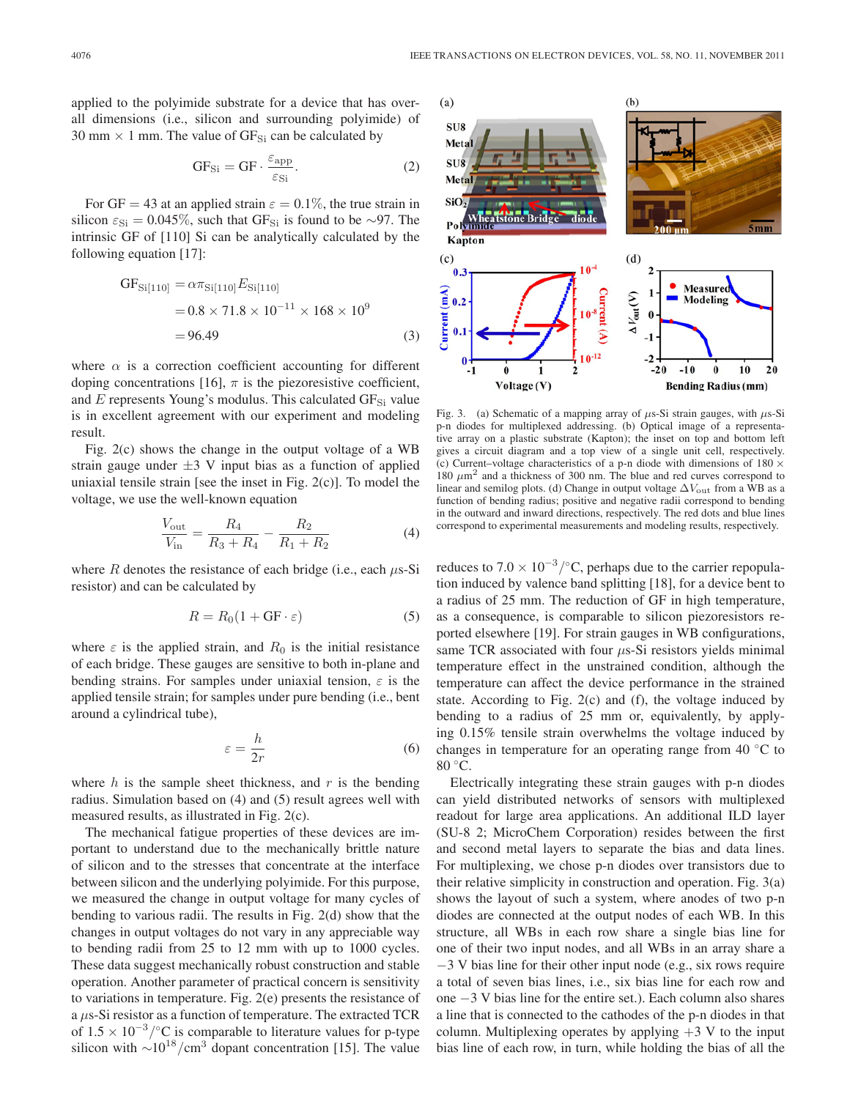applied to the polyimide substrate for a device that has overall dimensions (i.e., silicon and surrounding polyimide) of 30 mm  $\times$  1 mm. The value of GF<sub>Si</sub> can be calculated by

$$
GF_{Si} = GF \cdot \frac{\varepsilon_{app}}{\varepsilon_{Si}}.\t(2)
$$

For GF = 43 at an applied strain  $\varepsilon = 0.1\%$ , the true strain in silicon  $\varepsilon_{\text{Si}} = 0.045\%$ , such that GF<sub>Si</sub> is found to be ∼97. The intrinsic GF of [110] Si can be analytically calculated by the following equation [17]:

$$
GFSi[110] = \alpha \pi_{Si[110]} ESi[110]= 0.8 \times 71.8 \times 10-11 \times 168 \times 109= 96.49
$$
 (3)

where  $\alpha$  is a correction coefficient accounting for different doping concentrations [16],  $\pi$  is the piezoresistive coefficient, and  $E$  represents Young's modulus. This calculated  $GF_{Si}$  value is in excellent agreement with our experiment and modeling result.

Fig. 2(c) shows the change in the output voltage of a WB strain gauge under  $\pm 3$  V input bias as a function of applied uniaxial tensile strain [see the inset in Fig. 2(c)]. To model the voltage, we use the well-known equation

$$
\frac{V_{\text{out}}}{V_{\text{in}}} = \frac{R_4}{R_3 + R_4} - \frac{R_2}{R_1 + R_2} \tag{4}
$$

where R denotes the resistance of each bridge (i.e., each  $\mu$ s-Si resistor) and can be calculated by

$$
R = R_0(1 + \text{GF} \cdot \varepsilon) \tag{5}
$$

where  $\varepsilon$  is the applied strain, and  $R_0$  is the initial resistance of each bridge. These gauges are sensitive to both in-plane and bending strains. For samples under uniaxial tension,  $\varepsilon$  is the applied tensile strain; for samples under pure bending (i.e., bent around a cylindrical tube),

$$
\varepsilon = \frac{h}{2r} \tag{6}
$$

where  $h$  is the sample sheet thickness, and  $r$  is the bending radius. Simulation based on (4) and (5) result agrees well with measured results, as illustrated in Fig. 2(c).

The mechanical fatigue properties of these devices are important to understand due to the mechanically brittle nature of silicon and to the stresses that concentrate at the interface between silicon and the underlying polyimide. For this purpose, we measured the change in output voltage for many cycles of bending to various radii. The results in Fig. 2(d) show that the changes in output voltages do not vary in any appreciable way to bending radii from 25 to 12 mm with up to 1000 cycles. These data suggest mechanically robust construction and stable operation. Another parameter of practical concern is sensitivity to variations in temperature. Fig. 2(e) presents the resistance of a μs-Si resistor as a function of temperature. The extracted TCR of  $1.5 \times 10^{-3}$ /°C is comparable to literature values for p-type silicon with  $\sim 10^{18}/\text{cm}^3$  dopant concentration [15]. The value



Fig. 3. (a) Schematic of a mapping array of  $\mu$ s-Si strain gauges, with  $\mu$ s-Si p-n diodes for multiplexed addressing. (b) Optical image of a representative array on a plastic substrate (Kapton); the inset on top and bottom left gives a circuit diagram and a top view of a single unit cell, respectively. (c) Current–voltage characteristics of a p-n diode with dimensions of  $180 \times$ 180  $\mu$ m<sup>2</sup> and a thickness of 300 nm. The blue and red curves correspond to linear and semilog plots. (d) Change in output voltage  $\Delta V_{\rm out}$  from a WB as a function of bending radius; positive and negative radii correspond to bending in the outward and inward directions, respectively. The red dots and blue lines correspond to experimental measurements and modeling results, respectively.

reduces to  $7.0 \times 10^{-3}$ /°C, perhaps due to the carrier repopulation induced by valence band splitting [18], for a device bent to a radius of 25 mm. The reduction of GF in high temperature, as a consequence, is comparable to silicon piezoresistors reported elsewhere [19]. For strain gauges in WB configurations, same TCR associated with four  $\mu$ s-Si resistors yields minimal temperature effect in the unstrained condition, although the temperature can affect the device performance in the strained state. According to Fig. 2(c) and (f), the voltage induced by bending to a radius of 25 mm or, equivalently, by applying 0.15% tensile strain overwhelms the voltage induced by changes in temperature for an operating range from 40  $\degree$ C to 80 °C.

Electrically integrating these strain gauges with p-n diodes can yield distributed networks of sensors with multiplexed readout for large area applications. An additional ILD layer (SU-8 2; MicroChem Corporation) resides between the first and second metal layers to separate the bias and data lines. For multiplexing, we chose p-n diodes over transistors due to their relative simplicity in construction and operation. Fig.  $3(a)$ shows the layout of such a system, where anodes of two p-n diodes are connected at the output nodes of each WB. In this structure, all WBs in each row share a single bias line for one of their two input nodes, and all WBs in an array share a −3 V bias line for their other input node (e.g., six rows require a total of seven bias lines, i.e., six bias line for each row and one −3 V bias line for the entire set.). Each column also shares a line that is connected to the cathodes of the p-n diodes in that column. Multiplexing operates by applying  $+3$  V to the input bias line of each row, in turn, while holding the bias of all the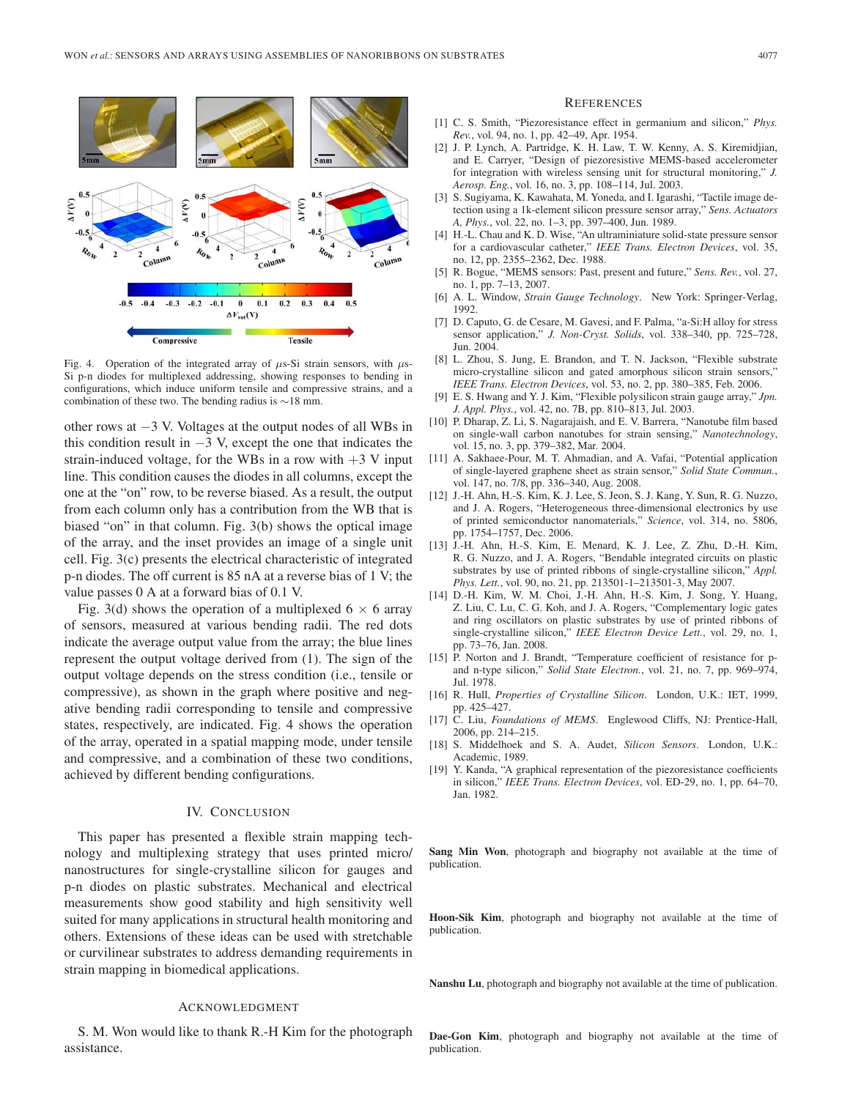

Fig. 4. Operation of the integrated array of  $\mu$ s-Si strain sensors, with  $\mu$ s-Si p-n diodes for multiplexed addressing, showing responses to bending in configurations, which induce uniform tensile and compressive strains, and a combination of these two. The bending radius is ∼18 mm.

other rows at −3 V. Voltages at the output nodes of all WBs in this condition result in  $-3$  V, except the one that indicates the strain-induced voltage, for the WBs in a row with  $+3$  V input line. This condition causes the diodes in all columns, except the one at the "on" row, to be reverse biased. As a result, the output from each column only has a contribution from the WB that is biased "on" in that column. Fig. 3(b) shows the optical image of the array, and the inset provides an image of a single unit cell. Fig. 3(c) presents the electrical characteristic of integrated p-n diodes. The off current is 85 nA at a reverse bias of 1 V; the value passes 0 A at a forward bias of 0.1 V.

Fig. 3(d) shows the operation of a multiplexed  $6 \times 6$  array of sensors, measured at various bending radii. The red dots indicate the average output value from the array; the blue lines represent the output voltage derived from (1). The sign of the output voltage depends on the stress condition (i.e., tensile or compressive), as shown in the graph where positive and negative bending radii corresponding to tensile and compressive states, respectively, are indicated. Fig. 4 shows the operation of the array, operated in a spatial mapping mode, under tensile and compressive, and a combination of these two conditions, achieved by different bending configurations.

### IV. CONCLUSION

This paper has presented a flexible strain mapping technology and multiplexing strategy that uses printed micro/ nanostructures for single-crystalline silicon for gauges and p-n diodes on plastic substrates. Mechanical and electrical measurements show good stability and high sensitivity well suited for many applications in structural health monitoring and others. Extensions of these ideas can be used with stretchable or curvilinear substrates to address demanding requirements in strain mapping in biomedical applications.

## ACKNOWLEDGMENT

S. M. Won would like to thank R.-H Kim for the photograph assistance.

#### **REFERENCES**

- [1] C. S. Smith, "Piezoresistance effect in germanium and silicon," *Phys. Rev.*, vol. 94, no. 1, pp. 42–49, Apr. 1954.
- [2] J. P. Lynch, A. Partridge, K. H. Law, T. W. Kenny, A. S. Kiremidjian, and E. Carryer, "Design of piezoresistive MEMS-based accelerometer for integration with wireless sensing unit for structural monitoring," *J. Aerosp. Eng.*, vol. 16, no. 3, pp. 108–114, Jul. 2003.
- [3] S. Sugiyama, K. Kawahata, M. Yoneda, and I. Igarashi, "Tactile image detection using a 1k-element silicon pressure sensor array," *Sens. Actuators A, Phys.*, vol. 22, no. 1–3, pp. 397–400, Jun. 1989.
- [4] H.-L. Chau and K. D. Wise, "An ultraminiature solid-state pressure sensor for a cardiovascular catheter," *IEEE Trans. Electron Devices*, vol. 35, no. 12, pp. 2355–2362, Dec. 1988.
- [5] R. Bogue, "MEMS sensors: Past, present and future," *Sens. Rev.*, vol. 27, no. 1, pp. 7–13, 2007.
- [6] A. L. Window, *Strain Gauge Technology*. New York: Springer-Verlag, 1992.
- [7] D. Caputo, G. de Cesare, M. Gavesi, and F. Palma, "a-Si:H alloy for stress sensor application," *J. Non-Cryst. Solids*, vol. 338–340, pp. 725–728, Jun. 2004.
- [8] L. Zhou, S. Jung, E. Brandon, and T. N. Jackson, "Flexible substrate micro-crystalline silicon and gated amorphous silicon strain sensors,' *IEEE Trans. Electron Devices*, vol. 53, no. 2, pp. 380–385, Feb. 2006.
- [9] E. S. Hwang and Y. J. Kim, "Flexible polysilicon strain gauge array," *Jpn. J. Appl. Phys.*, vol. 42, no. 7B, pp. 810–813, Jul. 2003.
- [10] P. Dharap, Z. Li, S. Nagarajaish, and E. V. Barrera, "Nanotube film based on single-wall carbon nanotubes for strain sensing," *Nanotechnology*, vol. 15, no. 3, pp. 379–382, Mar. 2004.
- [11] A. Sakhaee-Pour, M. T. Ahmadian, and A. Vafai, "Potential application of single-layered graphene sheet as strain sensor," *Solid State Commun.*, vol. 147, no. 7/8, pp. 336–340, Aug. 2008.
- [12] J.-H. Ahn, H.-S. Kim, K. J. Lee, S. Jeon, S. J. Kang, Y. Sun, R. G. Nuzzo, and J. A. Rogers, "Heterogeneous three-dimensional electronics by use of printed semiconductor nanomaterials," *Science*, vol. 314, no. 5806, pp. 1754–1757, Dec. 2006.
- [13] J.-H. Ahn, H.-S. Kim, E. Menard, K. J. Lee, Z. Zhu, D.-H. Kim, R. G. Nuzzo, and J. A. Rogers, "Bendable integrated circuits on plastic substrates by use of printed ribbons of single-crystalline silicon," *Appl. Phys. Lett.*, vol. 90, no. 21, pp. 213501-1–213501-3, May 2007.
- [14] D.-H. Kim, W. M. Choi, J.-H. Ahn, H.-S. Kim, J. Song, Y. Huang, Z. Liu, C. Lu, C. G. Koh, and J. A. Rogers, "Complementary logic gates and ring oscillators on plastic substrates by use of printed ribbons of single-crystalline silicon," *IEEE Electron Device Lett.*, vol. 29, no. 1, pp. 73–76, Jan. 2008.
- [15] P. Norton and J. Brandt, "Temperature coefficient of resistance for pand n-type silicon," *Solid State Electron.*, vol. 21, no. 7, pp. 969–974, Jul. 1978.
- [16] R. Hull, *Properties of Crystalline Silicon*. London, U.K.: IET, 1999, pp. 425–427.
- [17] C. Liu, *Foundations of MEMS*. Englewood Cliffs, NJ: Prentice-Hall, 2006, pp. 214–215.
- [18] S. Middelhoek and S. A. Audet, *Silicon Sensors*. London, U.K.: Academic, 1989.
- [19] Y. Kanda, "A graphical representation of the piezoresistance coefficients in silicon," *IEEE Trans. Electron Devices*, vol. ED-29, no. 1, pp. 64–70, Jan. 1982.

**Sang Min Won**, photograph and biography not available at the time of publication.

**Hoon-Sik Kim**, photograph and biography not available at the time of publication.

**Nanshu Lu**, photograph and biography not available at the time of publication.

**Dae-Gon Kim**, photograph and biography not available at the time of publication.